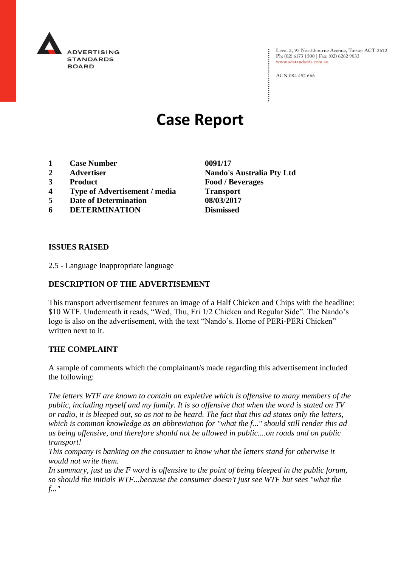

Level 2, 97 Northbourne Avenue, Turner ACT 2612 Ph: (02) 6173 1500 | Fax: (02) 6262 9833 www.adstandards.com.au

ACN 084 452 666

# **Case Report**

- **1 Case Number 0091/17**
- 
- 
- **4 Type of Advertisement / media Transport**
- **5 Date of Determination 08/03/2017**
- **6 DETERMINATION Dismissed**

**2 Advertiser Nando's Australia Pty Ltd 3 Product Food / Beverages**

#### **ISSUES RAISED**

2.5 - Language Inappropriate language

### **DESCRIPTION OF THE ADVERTISEMENT**

This transport advertisement features an image of a Half Chicken and Chips with the headline: \$10 WTF. Underneath it reads, "Wed, Thu, Fri 1/2 Chicken and Regular Side". The Nando's logo is also on the advertisement, with the text "Nando's. Home of PERi-PERi Chicken" written next to it.

#### **THE COMPLAINT**

A sample of comments which the complainant/s made regarding this advertisement included the following:

*The letters WTF are known to contain an expletive which is offensive to many members of the public, including myself and my family. It is so offensive that when the word is stated on TV or radio, it is bleeped out, so as not to be heard. The fact that this ad states only the letters, which is common knowledge as an abbreviation for "what the f..." should still render this ad as being offensive, and therefore should not be allowed in public....on roads and on public transport!*

*This company is banking on the consumer to know what the letters stand for otherwise it would not write them.*

*In summary, just as the F word is offensive to the point of being bleeped in the public forum, so should the initials WTF...because the consumer doesn't just see WTF but sees "what the f..."*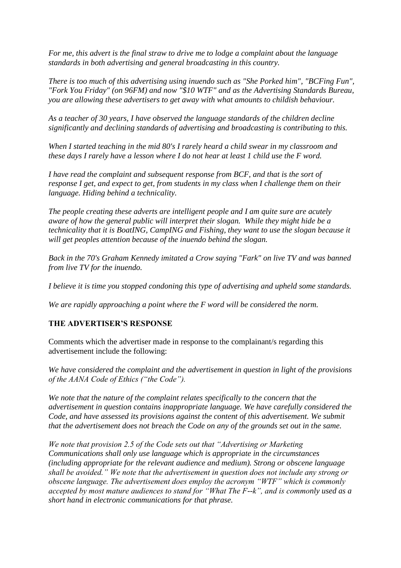*For me, this advert is the final straw to drive me to lodge a complaint about the language standards in both advertising and general broadcasting in this country.*

*There is too much of this advertising using inuendo such as "She Porked him", "BCFing Fun", "Fork You Friday" (on 96FM) and now "\$10 WTF" and as the Advertising Standards Bureau, you are allowing these advertisers to get away with what amounts to childish behaviour.*

*As a teacher of 30 years, I have observed the language standards of the children decline significantly and declining standards of advertising and broadcasting is contributing to this.*

*When I started teaching in the mid 80's I rarely heard a child swear in my classroom and these days I rarely have a lesson where I do not hear at least 1 child use the F word.*

*I have read the complaint and subsequent response from BCF, and that is the sort of response I get, and expect to get, from students in my class when I challenge them on their language. Hiding behind a technicality.*

*The people creating these adverts are intelligent people and I am quite sure are acutely aware of how the general public will interpret their slogan. While they might hide be a technicality that it is BoatING, CampING and Fishing, they want to use the slogan because it will get peoples attention because of the inuendo behind the slogan.*

*Back in the 70's Graham Kennedy imitated a Crow saying "Fark" on live TV and was banned from live TV for the inuendo.*

*I believe it is time you stopped condoning this type of advertising and upheld some standards.*

*We are rapidly approaching a point where the F word will be considered the norm.*

## **THE ADVERTISER'S RESPONSE**

Comments which the advertiser made in response to the complainant/s regarding this advertisement include the following:

*We have considered the complaint and the advertisement in question in light of the provisions of the AANA Code of Ethics ("the Code").*

*We note that the nature of the complaint relates specifically to the concern that the advertisement in question contains inappropriate language. We have carefully considered the Code, and have assessed its provisions against the content of this advertisement. We submit that the advertisement does not breach the Code on any of the grounds set out in the same.*

*We note that provision 2.5 of the Code sets out that "Advertising or Marketing Communications shall only use language which is appropriate in the circumstances (including appropriate for the relevant audience and medium). Strong or obscene language shall be avoided." We note that the advertisement in question does not include any strong or obscene language. The advertisement does employ the acronym "WTF" which is commonly accepted by most mature audiences to stand for "What The F--k", and is commonly used as a short hand in electronic communications for that phrase.*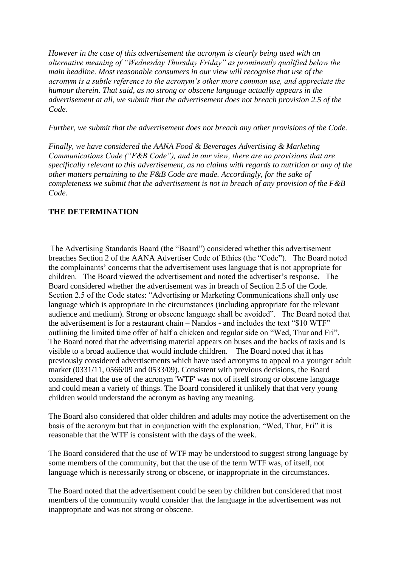*However in the case of this advertisement the acronym is clearly being used with an alternative meaning of "Wednesday Thursday Friday" as prominently qualified below the main headline. Most reasonable consumers in our view will recognise that use of the acronym is a subtle reference to the acronym's other more common use, and appreciate the humour therein. That said, as no strong or obscene language actually appears in the advertisement at all, we submit that the advertisement does not breach provision 2.5 of the Code.*

*Further, we submit that the advertisement does not breach any other provisions of the Code.*

*Finally, we have considered the AANA Food & Beverages Advertising & Marketing Communications Code ("F&B Code"), and in our view, there are no provisions that are specifically relevant to this advertisement, as no claims with regards to nutrition or any of the other matters pertaining to the F&B Code are made. Accordingly, for the sake of completeness we submit that the advertisement is not in breach of any provision of the F&B Code.*

## **THE DETERMINATION**

The Advertising Standards Board (the "Board") considered whether this advertisement breaches Section 2 of the AANA Advertiser Code of Ethics (the "Code"). The Board noted the complainants' concerns that the advertisement uses language that is not appropriate for children. The Board viewed the advertisement and noted the advertiser's response. The Board considered whether the advertisement was in breach of Section 2.5 of the Code. Section 2.5 of the Code states: "Advertising or Marketing Communications shall only use language which is appropriate in the circumstances (including appropriate for the relevant audience and medium). Strong or obscene language shall be avoided". The Board noted that the advertisement is for a restaurant chain – Nandos - and includes the text "\$10 WTF" outlining the limited time offer of half a chicken and regular side on "Wed, Thur and Fri". The Board noted that the advertising material appears on buses and the backs of taxis and is visible to a broad audience that would include children. The Board noted that it has previously considered advertisements which have used acronyms to appeal to a younger adult market (0331/11, 0566/09 and 0533/09). Consistent with previous decisions, the Board considered that the use of the acronym 'WTF' was not of itself strong or obscene language and could mean a variety of things. The Board considered it unlikely that that very young children would understand the acronym as having any meaning.

The Board also considered that older children and adults may notice the advertisement on the basis of the acronym but that in conjunction with the explanation, "Wed, Thur, Fri" it is reasonable that the WTF is consistent with the days of the week.

The Board considered that the use of WTF may be understood to suggest strong language by some members of the community, but that the use of the term WTF was, of itself, not language which is necessarily strong or obscene, or inappropriate in the circumstances.

The Board noted that the advertisement could be seen by children but considered that most members of the community would consider that the language in the advertisement was not inappropriate and was not strong or obscene.